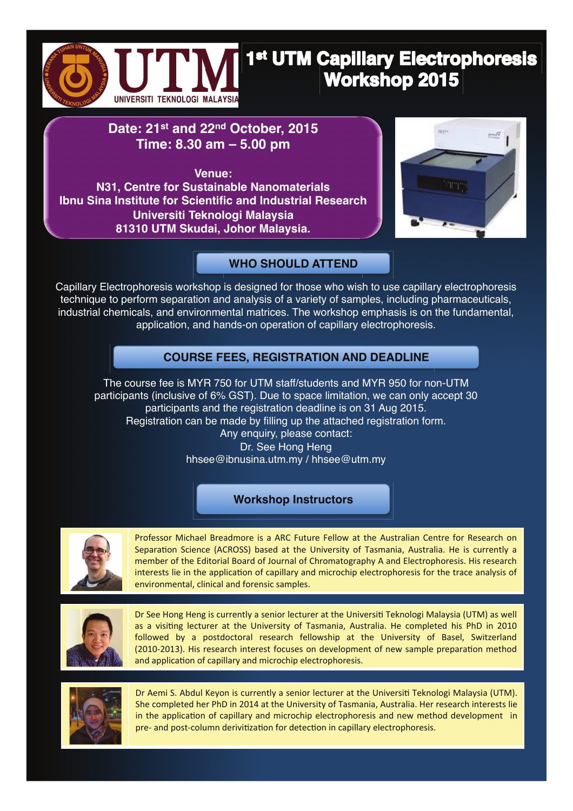

# 1st UTM Capillary Electrophoresis **Workshop 2015**

## **Date: 21st and 22nd October, 2015 Time: 8.30 am – 5.00 pm**

**Venue: N31, Centre for Sustainable Nanomaterials Ibnu Sina Institute for Scientific and Industrial Research Universiti Teknologi Malaysia 81310 UTM Skudai, Johor Malaysia.**



### **WHO SHOULD ATTEND**

Capillary Electrophoresis workshop is designed for those who wish to use capillary electrophoresis technique to perform separation and analysis of a variety of samples, including pharmaceuticals, industrial chemicals, and environmental matrices. The workshop emphasis is on the fundamental, application, and hands-on operation of capillary electrophoresis.

### **COURSE FEES, REGISTRATION AND DEADLINE**

The course fee is MYR 750 for UTM staff/students and MYR 950 for non-UTM participants (inclusive of 6% GST). Due to space limitation, we can only accept 30 participants and the registration deadline is on 31 Aug 2015. Registration can be made by filling up the attached registration form. Any enquiry, please contact: Dr. See Hong Heng hhsee@ibnusina.utm.my / hhsee@utm.my

#### **Workshop Instructors**



Professor Michael Breadmore is a ARC Future Fellow at the Australian Centre for Research on Separation Science (ACROSS) based at the University of Tasmania, Australia. He is currently a member of the Editorial Board of Journal of Chromatography A and Electrophoresis. His research interests lie in the application of capillary and microchip electrophoresis for the trace analysis of environmental, clinical and forensic samples.



Dr See Hong Heng is currently a senior lecturer at the Universiti Teknologi Malaysia (UTM) as well as a visiting lecturer at the University of Tasmania, Australia. He completed his PhD in 2010 followed by a postdoctoral research fellowship at the University of Basel, Switzerland (2010-2013). His research interest focuses on development of new sample preparation method and application of capillary and microchip electrophoresis.



Dr Aemi S. Abdul Keyon is currently a senior lecturer at the Universiti Teknologi Malaysia (UTM). She completed her PhD in 2014 at the University of Tasmania, Australia. Her research interests lie in the application of capillary and microchip electrophoresis and new method development in pre- and post-column derivitization for detection in capillary electrophoresis.